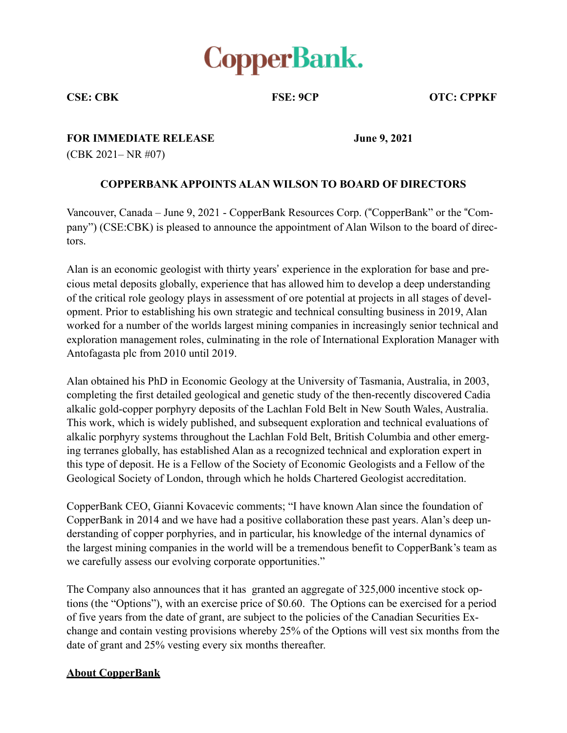

**CSE: CBK FSE: 9CP OTC: CPPKF** 

**FOR IMMEDIATE RELEASE June 9, 2021** 

(CBK 2021– NR #07)

## **COPPERBANK APPOINTS ALAN WILSON TO BOARD OF DIRECTORS**

Vancouver, Canada – June 9, 2021 - CopperBank Resources Corp. ("CopperBank" or the "Company") (CSE:CBK) is pleased to announce the appointment of Alan Wilson to the board of directors.

Alan is an economic geologist with thirty years' experience in the exploration for base and precious metal deposits globally, experience that has allowed him to develop a deep understanding of the critical role geology plays in assessment of ore potential at projects in all stages of development. Prior to establishing his own strategic and technical consulting business in 2019, Alan worked for a number of the worlds largest mining companies in increasingly senior technical and exploration management roles, culminating in the role of International Exploration Manager with Antofagasta plc from 2010 until 2019.

Alan obtained his PhD in Economic Geology at the University of Tasmania, Australia, in 2003, completing the first detailed geological and genetic study of the then-recently discovered Cadia alkalic gold-copper porphyry deposits of the Lachlan Fold Belt in New South Wales, Australia. This work, which is widely published, and subsequent exploration and technical evaluations of alkalic porphyry systems throughout the Lachlan Fold Belt, British Columbia and other emerging terranes globally, has established Alan as a recognized technical and exploration expert in this type of deposit. He is a Fellow of the Society of Economic Geologists and a Fellow of the Geological Society of London, through which he holds Chartered Geologist accreditation.

CopperBank CEO, Gianni Kovacevic comments; "I have known Alan since the foundation of CopperBank in 2014 and we have had a positive collaboration these past years. Alan's deep understanding of copper porphyries, and in particular, his knowledge of the internal dynamics of the largest mining companies in the world will be a tremendous benefit to CopperBank's team as we carefully assess our evolving corporate opportunities."

The Company also announces that it has granted an aggregate of 325,000 incentive stock options (the "Options"), with an exercise price of \$0.60. The Options can be exercised for a period of five years from the date of grant, are subject to the policies of the Canadian Securities Exchange and contain vesting provisions whereby 25% of the Options will vest six months from the date of grant and 25% vesting every six months thereafter.

## **About CopperBank**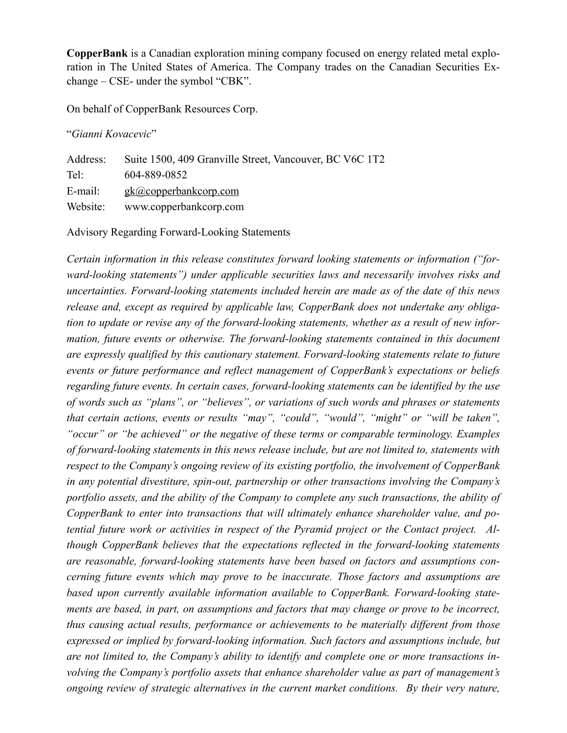**CopperBank** is a Canadian exploration mining company focused on energy related metal exploration in The United States of America. The Company trades on the Canadian Securities Exchange – CSE- under the symbol "CBK".

On behalf of CopperBank Resources Corp.

## "*Gianni Kovacevic*"

| Address: | Suite 1500, 409 Granville Street, Vancouver, BC V6C 1T2 |
|----------|---------------------------------------------------------|
| $Tel^-$  | 604-889-0852                                            |
| E-mail:  | gk@copperbankcorp.com                                   |
| Website: | www.copperbankcorp.com                                  |

Advisory Regarding Forward-Looking Statements

*Certain information in this release constitutes forward looking statements or information ("forward-looking statements") under applicable securities laws and necessarily involves risks and uncertainties. Forward-looking statements included herein are made as of the date of this news release and, except as required by applicable law, CopperBank does not undertake any obligation to update or revise any of the forward-looking statements, whether as a result of new information, future events or otherwise. The forward-looking statements contained in this document are expressly qualified by this cautionary statement. Forward-looking statements relate to future events or future performance and reflect management of CopperBank's expectations or beliefs regarding future events. In certain cases, forward-looking statements can be identified by the use of words such as "plans", or "believes", or variations of such words and phrases or statements that certain actions, events or results "may", "could", "would", "might" or "will be taken", "occur" or "be achieved" or the negative of these terms or comparable terminology. Examples of forward-looking statements in this news release include, but are not limited to, statements with respect to the Company's ongoing review of its existing portfolio, the involvement of CopperBank in any potential divestiture, spin-out, partnership or other transactions involving the Company's portfolio assets, and the ability of the Company to complete any such transactions, the ability of CopperBank to enter into transactions that will ultimately enhance shareholder value, and potential future work or activities in respect of the Pyramid project or the Contact project. Although CopperBank believes that the expectations reflected in the forward-looking statements are reasonable, forward-looking statements have been based on factors and assumptions concerning future events which may prove to be inaccurate. Those factors and assumptions are based upon currently available information available to CopperBank. Forward-looking statements are based, in part, on assumptions and factors that may change or prove to be incorrect, thus causing actual results, performance or achievements to be materially different from those expressed or implied by forward-looking information. Such factors and assumptions include, but are not limited to, the Company's ability to identify and complete one or more transactions involving the Company's portfolio assets that enhance shareholder value as part of management's ongoing review of strategic alternatives in the current market conditions. By their very nature,*